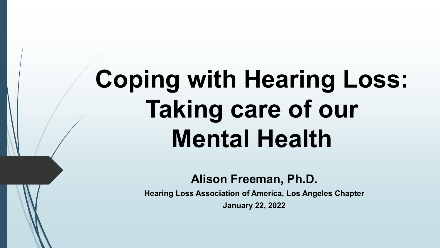# **Coping with Hearing Loss: Taking care of our Mental Health**

**Alison Freeman, Ph.D.**

**Hearing Loss Association of America, Los Angeles Chapter**

**January 22, 2022**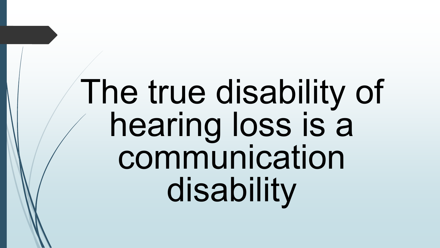# The true disability of hearing loss is a communication disability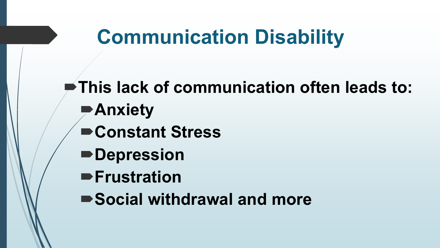# **Communication Disability**

**This lack of communication often leads to: Anxiety Constant Stress Depression Frustration Social withdrawal and more**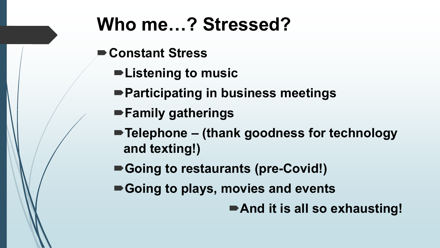# **Who me…? Stressed?**

- **Constant Stress** 
	- **Listening to music**
	- **Participating in business meetings**
	- **Family gatherings**
	- **Telephone – (thank goodness for technology and texting!)**
	- Going to restaurants (pre-Covid!)
	- **Going to plays, movies and events**
		- And it is all so exhausting!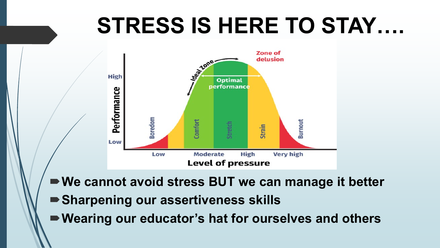# **STRESS IS HERE TO STAY….**



- **We cannot avoid stress BUT we can manage it better**
- **Sharpening our assertiveness skills**
- **Wearing our educator's hat for ourselves and others**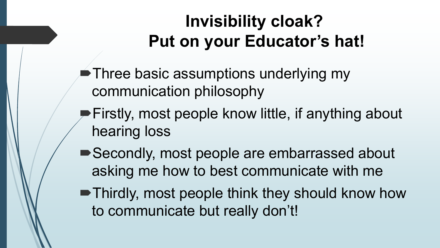### **Invisibility cloak? Put on your Educator's hat!**

■ Three basic assumptions underlying my communication philosophy

- **Firstly, most people know little, if anything about** hearing loss
- ■Secondly, most people are embarrassed about asking me how to best communicate with me
- Thirdly, most people think they should know how to communicate but really don't!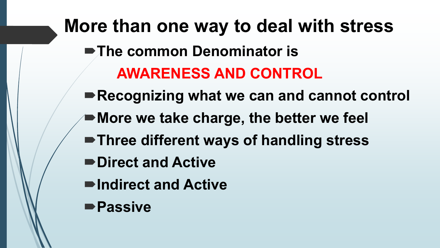**More than one way to deal with stress The common Denominator is AWARENESS AND CONTROL Recognizing what we can and cannot control More we take charge, the better we feel Three different ways of handling stress Direct and Active Indirect and Active Passive**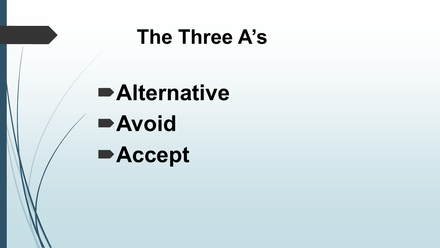## **The Three A's**

**Alternative Avoid Accept**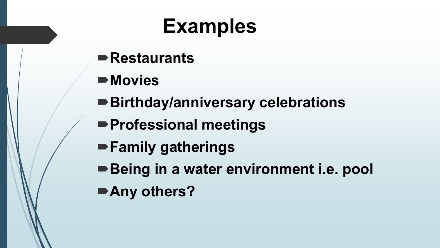# **Examples**

- **Restaurants**
- **Movies**
- **Birthday/anniversary celebrations**
- **Professional meetings**
- **Family gatherings**
- ■Being in a water environment i.e. pool **Any others?**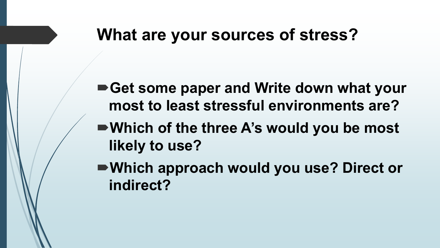#### **What are your sources of stress?**

**Get some paper and Write down what your most to least stressful environments are?**

**Which of the three A's would you be most likely to use?**

**Which approach would you use? Direct or indirect?**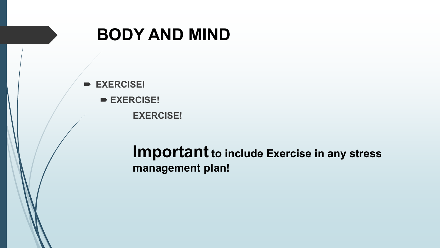#### **BODY AND MIND**

 **EXERCISE! EXERCISE! EXERCISE!**

#### **Important** to include Exercise in any stress **management plan!**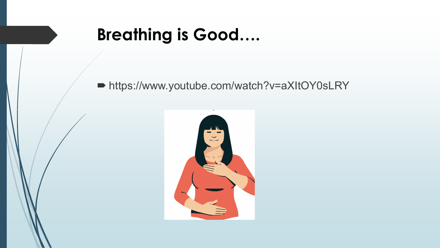#### **Breathing is Good....**

Intips://www.youtube.com/watch?v=aXItOY0sLRY

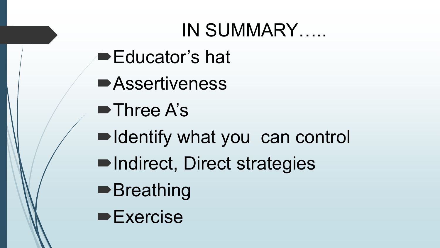## IN SUMMARY.....

- Educator's hat
- **BASSertiveness**
- $\blacksquare$  Three A's
- Indentify what you can control
- Indirect, Direct strategies
- **Breathing**
- $\blacktriangleright$  Exercise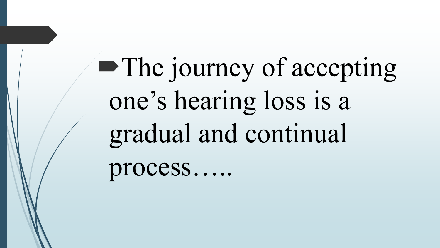• The journey of accepting one's hearing loss is a gradual and continual process.....